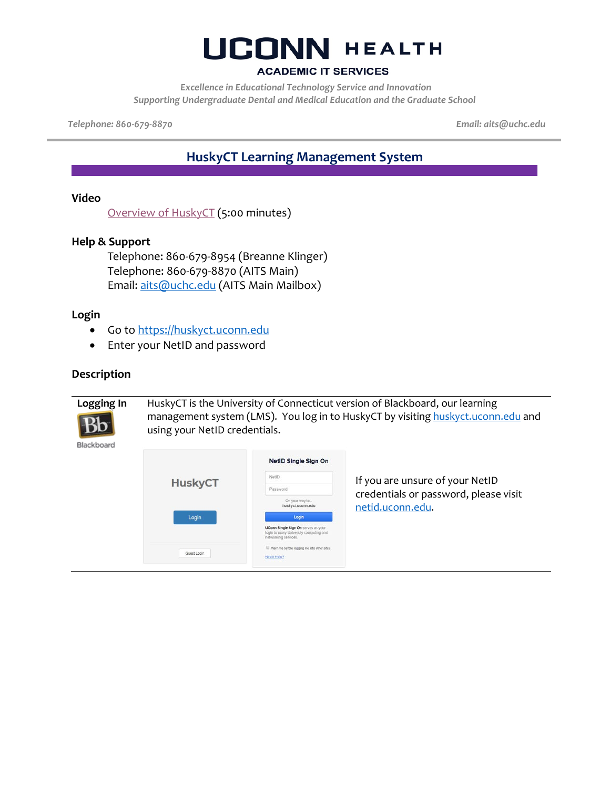#### **ACADEMIC IT SERVICES**

*Excellence in Educational Technology Service and Innovation Supporting Undergraduate Dental and Medical Education and the Graduate School*

*Telephone: 860-679-8870 Email: aits@uchc.edu*

### **HuskyCT Learning Management System**

#### **Video**

[Overview of HuskyCT](https://kaltura.uconn.edu/media/Overview+of+HuskyCT/1_1fpyl9zf) (5:00 minutes)

#### **Help & Support**

Telephone: 860-679-8954 (Breanne Klinger) Telephone: 860-679-8870 (AITS Main) Email: [aits@uchc.edu](mailto:aits@uchc.edu) (AITS Main Mailbox)

#### **Login**

- Go to [https://huskyct.uconn.edu](https://huskyct.uconn.edu/)
- Enter your NetID and password

#### **Description**

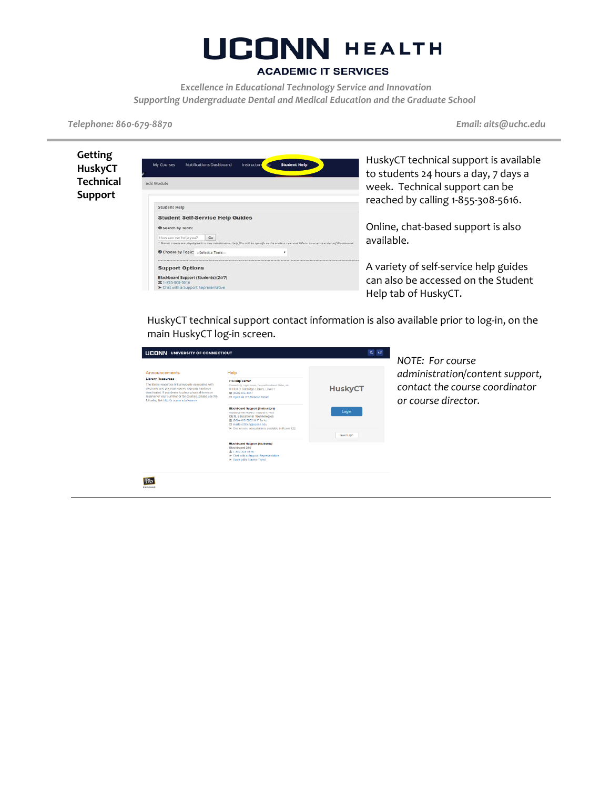### **UCONN HEALTH**

#### **ACADEMIC IT SERVICES**

*Excellence in Educational Technology Service and Innovation Supporting Undergraduate Dental and Medical Education and the Graduate School*

*Telephone: 860-679-8870 Email: aits@uchc.edu*

| Getting<br><b>HuskyCT</b> | <b>Student Help</b><br><b>Notifications Dashboard</b><br>My Courses<br>Instructor<br>d <sub>D</sub>                                                                                                                                                                                      | Husk<br>to st          |
|---------------------------|------------------------------------------------------------------------------------------------------------------------------------------------------------------------------------------------------------------------------------------------------------------------------------------|------------------------|
| <b>Technical</b>          | Add Module                                                                                                                                                                                                                                                                               | weel                   |
| <b>Support</b>            | Student Help                                                                                                                                                                                                                                                                             | reacl                  |
|                           | <b>Student Self-Service Help Guides</b><br><b>B</b> Search by Term:<br>How can we help you?<br>Go<br>* Search results are displayed in a new tab/window. Help files will be specific to the student role and UConn's current version of Blackboard.<br>Choose by Topic:  Select a Topic- | Onlir<br>avail         |
|                           | <b>Support Options</b><br>Blackboard Support (Students) (24/7)<br><b>2 1-855-308-5616</b><br>> Chat with a Support Representative                                                                                                                                                        | A vai<br>can a<br>Heln |

kyCT technical support is available udents 24 hours a day, 7 days a k. Technical support can be hed by calling 1-855-308-5616.

ne, chat-based support is also lable.

riety of self-service help guides also be accessed on the Student p tab of HuskyCT.

HuskyCT technical support contact information is also available prior to log-in, on the main HuskyCT log-in screen.

| <b>UCONN UNIVERSITY OF CONNECTICUT</b>                                                                                                                                                                                                                                                                                   | $Q$ $AZ$                                                                                                                                                                                                                                     |                      |
|--------------------------------------------------------------------------------------------------------------------------------------------------------------------------------------------------------------------------------------------------------------------------------------------------------------------------|----------------------------------------------------------------------------------------------------------------------------------------------------------------------------------------------------------------------------------------------|----------------------|
| Announcements<br><b>Library Resources</b><br>The library resources link previously associated with<br>electronic and physical reserve requests has been<br>deactivated. If you desire to place physical items on<br>reserve for your summer or fall courses, please use the<br>following link http://s.uconn.edu/reserve | Help<br><b>ITS Help Center</b><br>Connectivity, Login Issues, Course/Enrolment Status, etc.,<br>C Homer Babbidge Library, Level 1<br>雷 (860) 486-4357<br>69 Open an ITS Service Ticket                                                       | <b>HuskyCT</b>       |
|                                                                                                                                                                                                                                                                                                                          | <b>Blackboard Support (Instructors)</b><br>Assistance with HushvCT Features & Tools.<br><b>CETL Educational Technologies</b><br>宫 (860) 486-5052 M-F 9a-4p<br>et mailto:edlech@uconn.edu<br>> One on one consultations available in Rowe 422 | Login<br>Guest Login |
|                                                                                                                                                                                                                                                                                                                          | <b>Blackboard Support (Students)</b><br>Blackboard 24/7<br>含 1-855-308-5616<br>> Chat with a Support Representative<br>> Open a Bb Service Ticket                                                                                            |                      |
|                                                                                                                                                                                                                                                                                                                          |                                                                                                                                                                                                                                              |                      |

*NOTE: For course administration/content support, contact the course coordinator or course director.*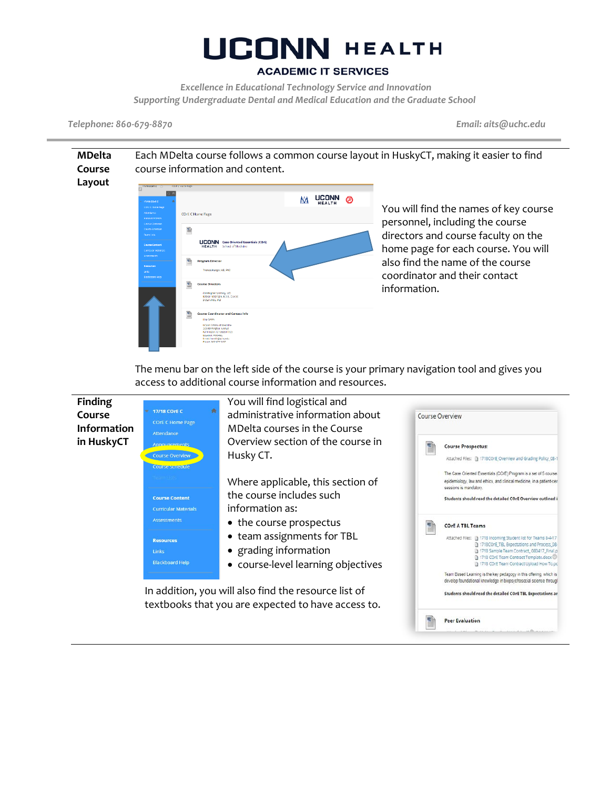#### **ACADEMIC IT SERVICES**

*Excellence in Educational Technology Service and Innovation Supporting Undergraduate Dental and Medical Education and the Graduate School*

*Telephone: 860-679-8870 Email: aits@uchc.edu*

**MDelta**  Each MDelta course follows a common course layout in HuskyCT, making it easier to find **Course**  course information and content. **Layout** o a UCONN <sup>®</sup> MЛ You will find the names of key course COrE C Home Page personnel, including the course 動 directors and course faculty on the **UCONN** Case Oriented Esse home page for each course. You will also find the name of the course coordinator and their contact information. .<br>İnfistopher Morosky, MD<br>İndian Antic, MD<br>İndian Antic, MD

> The menu bar on the left side of the course is your primary navigation tool and gives you access to additional course information and resources.

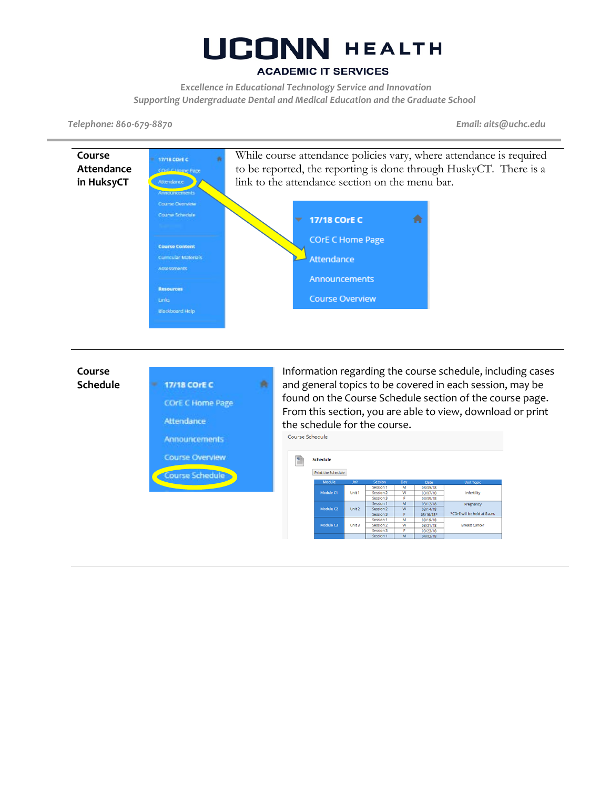#### **ACADEMIC IT SERVICES**

*Excellence in Educational Technology Service and Innovation Supporting Undergraduate Dental and Medical Education and the Graduate School*

*Telephone: 860-679-8870 Email: aits@uchc.edu*